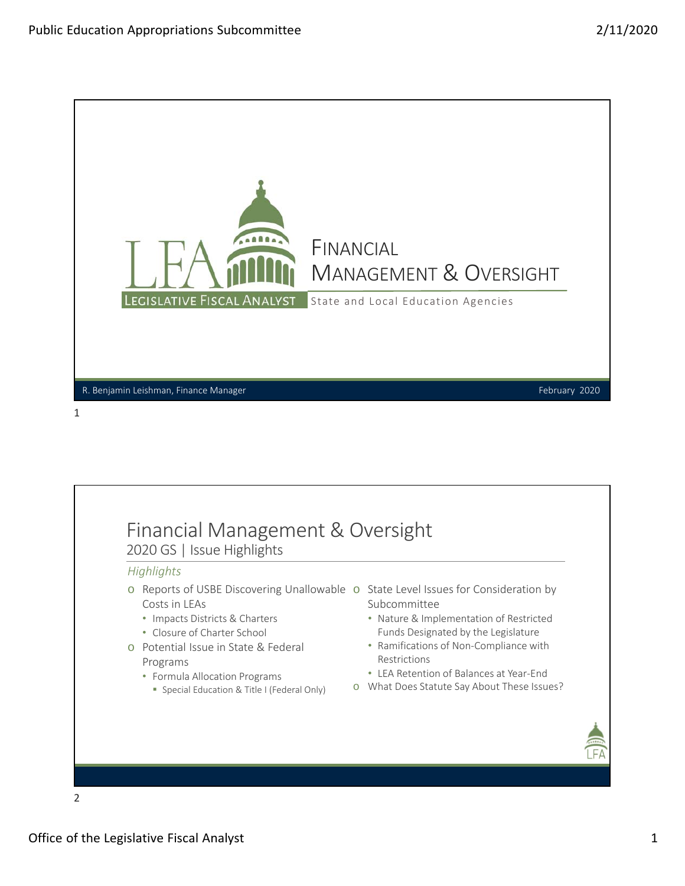

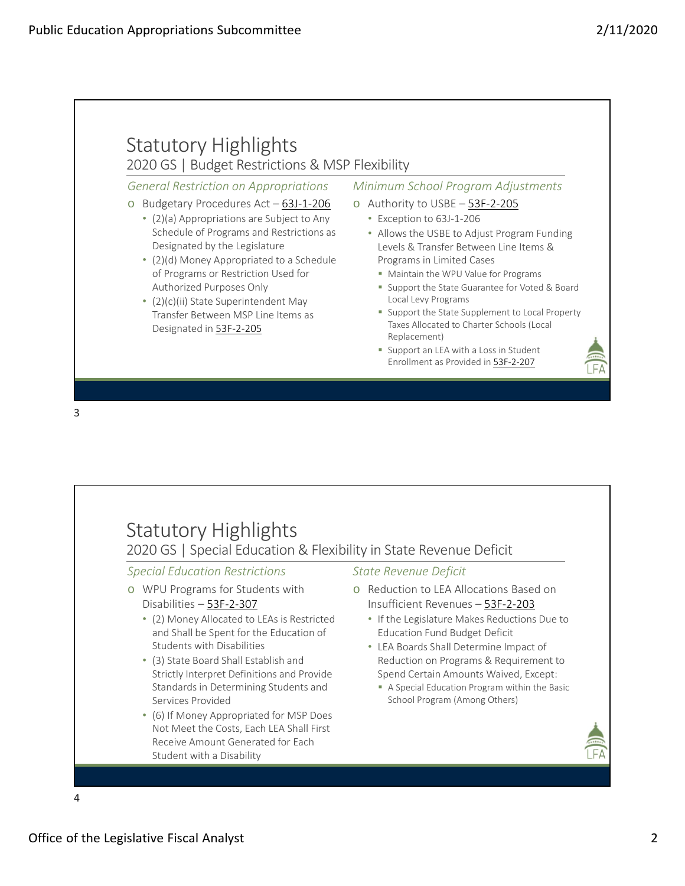## Statutory Highlights 2020 GS | Budget Restrictions & MSP Flexibility o Budgetary Procedures Act – 63J‐1‐206 • (2)(a) Appropriations are Subject to Any Schedule of Programs and Restrictions as Designated by the Legislature • (2)(d) Money Appropriated to a Schedule of Programs or Restriction Used for Authorized Purposes Only • (2)(c)(ii) State Superintendent May Transfer Between MSP Line Items as Designated in 53F‐2‐205 *General Restriction on Appropriations Minimum School Program Adjustments* o Authority to USBE – 53F‐2‐205 • Exception to 63J‐1‐206 • Allows the USBE to Adjust Program Funding Levels & Transfer Between Line Items & Programs in Limited Cases **Maintain the WPU Value for Programs Support the State Guarantee for Voted & Board** Local Levy Programs **Support the State Supplement to Local Property** Taxes Allocated to Charter Schools (Local Replacement) **Support an LEA with a Loss in Student** Enrollment as Provided in 53F‐2‐207

3

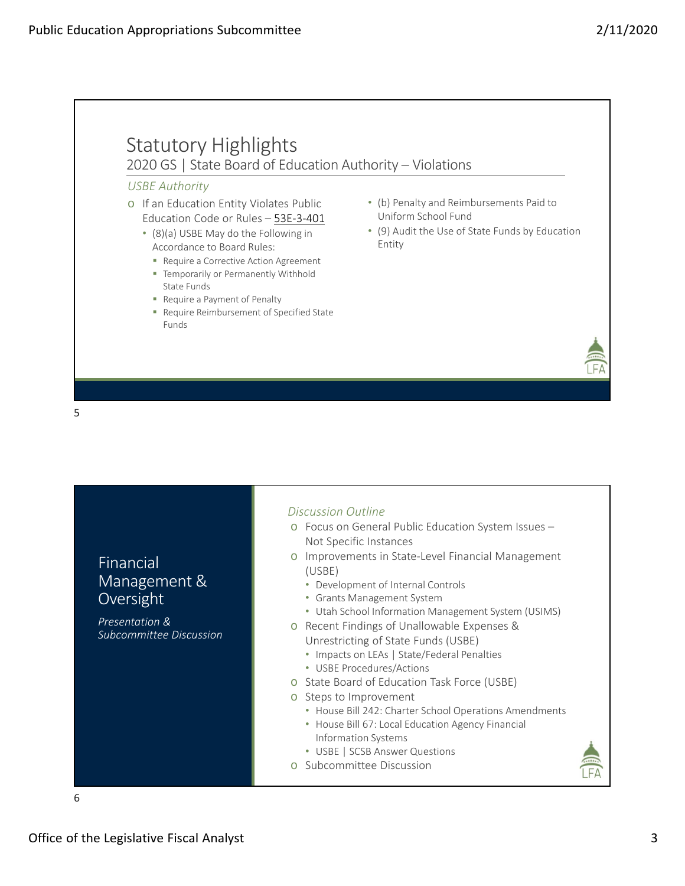

| Discussion Outline<br>o Focus on General Public Education System Issues -<br>Not Specific Instances<br>Improvements in State-Level Financial Management<br>Financial<br>(USBE)<br>Management &<br>• Development of Internal Controls<br>Oversight<br>• Grants Management System<br>• Utah School Information Management System (USIMS)<br>Presentation &<br>Recent Findings of Unallowable Expenses &<br>Subcommittee Discussion<br>Unrestricting of State Funds (USBE)<br>• Impacts on LEAs   State/Federal Penalties<br>• USBE Procedures/Actions<br>o State Board of Education Task Force (USBE)<br>o Steps to Improvement<br>• House Bill 242: Charter School Operations Amendments<br>• House Bill 67: Local Education Agency Financial<br>Information Systems<br>• USBE   SCSB Answer Questions<br>o Subcommittee Discussion |  |
|------------------------------------------------------------------------------------------------------------------------------------------------------------------------------------------------------------------------------------------------------------------------------------------------------------------------------------------------------------------------------------------------------------------------------------------------------------------------------------------------------------------------------------------------------------------------------------------------------------------------------------------------------------------------------------------------------------------------------------------------------------------------------------------------------------------------------------|--|
| 6                                                                                                                                                                                                                                                                                                                                                                                                                                                                                                                                                                                                                                                                                                                                                                                                                                  |  |

Office of the Legislative Fiscal Analyst 3